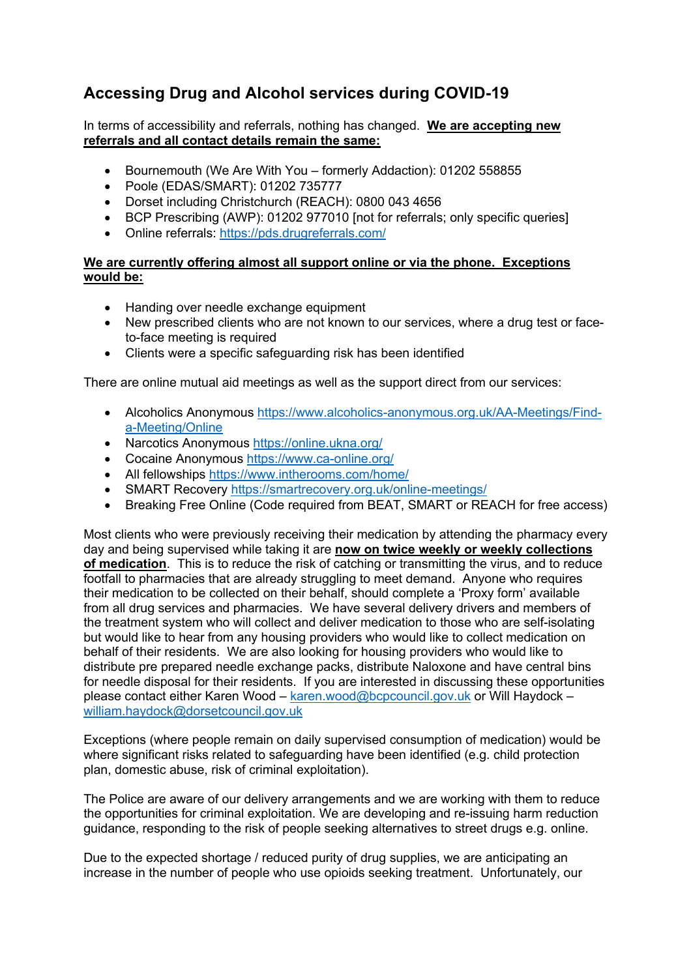## **Accessing Drug and Alcohol services during COVID-19**

## In terms of accessibility and referrals, nothing has changed. **We are accepting new referrals and all contact details remain the same:**

- Bournemouth (We Are With You formerly Addaction): 01202 558855
- Poole (EDAS/SMART): 01202 735777
- Dorset including Christchurch (REACH): 0800 043 4656
- BCP Prescribing (AWP): 01202 977010 [not for referrals; only specific queries]
- Online referrals: https://pds.drugreferrals.com/

## **We are currently offering almost all support online or via the phone. Exceptions would be:**

- Handing over needle exchange equipment
- New prescribed clients who are not known to our services, where a drug test or faceto-face meeting is required
- Clients were a specific safeguarding risk has been identified

There are online mutual aid meetings as well as the support direct from our services:

- Alcoholics Anonymous https://www.alcoholics-anonymous.org.uk/AA-Meetings/Finda-Meeting/Online
- Narcotics Anonymous https://online.ukna.org/
- Cocaine Anonymous https://www.ca-online.org/
- All fellowships https://www.intherooms.com/home/
- SMART Recovery https://smartrecovery.org.uk/online-meetings/
- Breaking Free Online (Code required from BEAT, SMART or REACH for free access)

Most clients who were previously receiving their medication by attending the pharmacy every day and being supervised while taking it are **now on twice weekly or weekly collections of medication**. This is to reduce the risk of catching or transmitting the virus, and to reduce footfall to pharmacies that are already struggling to meet demand. Anyone who requires their medication to be collected on their behalf, should complete a 'Proxy form' available from all drug services and pharmacies. We have several delivery drivers and members of the treatment system who will collect and deliver medication to those who are self-isolating but would like to hear from any housing providers who would like to collect medication on behalf of their residents. We are also looking for housing providers who would like to distribute pre prepared needle exchange packs, distribute Naloxone and have central bins for needle disposal for their residents. If you are interested in discussing these opportunities please contact either Karen Wood – karen.wood@bcpcouncil.gov.uk or Will Haydock – william.haydock@dorsetcouncil.gov.uk

Exceptions (where people remain on daily supervised consumption of medication) would be where significant risks related to safeguarding have been identified (e.g. child protection plan, domestic abuse, risk of criminal exploitation).

The Police are aware of our delivery arrangements and we are working with them to reduce the opportunities for criminal exploitation. We are developing and re-issuing harm reduction guidance, responding to the risk of people seeking alternatives to street drugs e.g. online.

Due to the expected shortage / reduced purity of drug supplies, we are anticipating an increase in the number of people who use opioids seeking treatment. Unfortunately, our